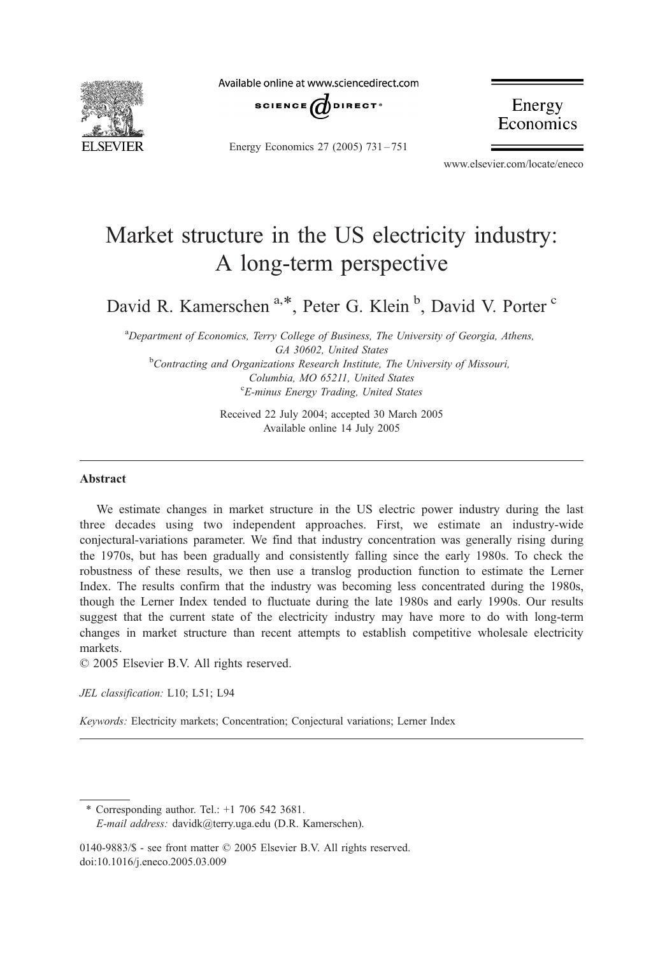

Available online at www.sciencedirect.com



Energy Economics 27 (2005) 731 – 751

Energy Economics

www.elsevier.com/locate/eneco

# Market structure in the US electricity industry: A long-term perspective

David R. Kamerschen<sup>a,\*</sup>, Peter G. Klein<sup>b</sup>, David V. Porter<sup>c</sup>

<sup>a</sup>Department of Economics, Terry College of Business, The University of Georgia, Athens, GA 30602, United States<br><sup>b</sup>Contracting and Organizations Research Institute, The University of Missouri, Columbia, MO 65211, United States <sup>c</sup>E-minus Energy Trading, United States

> Received 22 July 2004; accepted 30 March 2005 Available online 14 July 2005

#### Abstract

We estimate changes in market structure in the US electric power industry during the last three decades using two independent approaches. First, we estimate an industry-wide conjectural-variations parameter. We find that industry concentration was generally rising during the 1970s, but has been gradually and consistently falling since the early 1980s. To check the robustness of these results, we then use a translog production function to estimate the Lerner Index. The results confirm that the industry was becoming less concentrated during the 1980s, though the Lerner Index tended to fluctuate during the late 1980s and early 1990s. Our results suggest that the current state of the electricity industry may have more to do with long-term changes in market structure than recent attempts to establish competitive wholesale electricity markets.

 $\odot$  2005 Elsevier B.V. All rights reserved.

JEL classification: L10; L51; L94

Keywords: Electricity markets; Concentration; Conjectural variations; Lerner Index

\* Corresponding author. Tel.: +1 706 542 3681. E-mail address: davidk@terry.uga.edu (D.R. Kamerschen).

0140-9883/\$ - see front matter © 2005 Elsevier B.V. All rights reserved. doi:10.1016/j.eneco.2005.03.009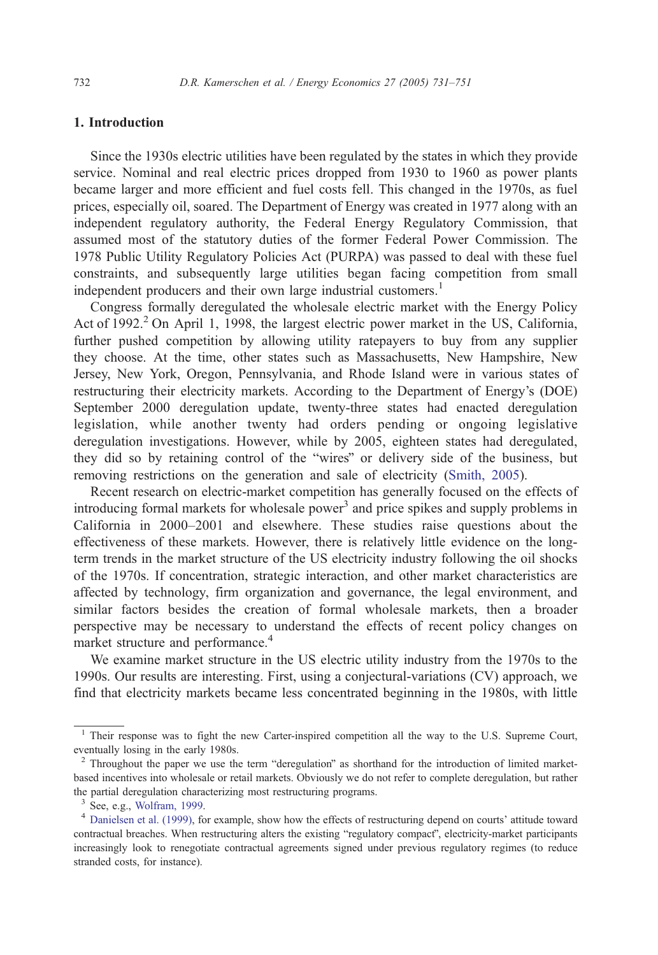# 1. Introduction

Since the 1930s electric utilities have been regulated by the states in which they provide service. Nominal and real electric prices dropped from 1930 to 1960 as power plants became larger and more efficient and fuel costs fell. This changed in the 1970s, as fuel prices, especially oil, soared. The Department of Energy was created in 1977 along with an independent regulatory authority, the Federal Energy Regulatory Commission, that assumed most of the statutory duties of the former Federal Power Commission. The 1978 Public Utility Regulatory Policies Act (PURPA) was passed to deal with these fuel constraints, and subsequently large utilities began facing competition from small independent producers and their own large industrial customers.<sup>1</sup>

Congress formally deregulated the wholesale electric market with the Energy Policy Act of 1992. $^2$  On April 1, 1998, the largest electric power market in the US, California, further pushed competition by allowing utility ratepayers to buy from any supplier they choose. At the time, other states such as Massachusetts, New Hampshire, New Jersey, New York, Oregon, Pennsylvania, and Rhode Island were in various states of restructuring their electricity markets. According to the Department of Energy's (DOE) September 2000 deregulation update, twenty-three states had enacted deregulation legislation, while another twenty had orders pending or ongoing legislative deregulation investigations. However, while by 2005, eighteen states had deregulated, they did so by retaining control of the "wires" or delivery side of the business, but removing restrictions on the generation and sale of electricity ([Smith, 2005\)](#page-20-0).

Recent research on electric-market competition has generally focused on the effects of introducing formal markets for wholesale power<sup>3</sup> and price spikes and supply problems in California in 2000–2001 and elsewhere. These studies raise questions about the effectiveness of these markets. However, there is relatively little evidence on the longterm trends in the market structure of the US electricity industry following the oil shocks of the 1970s. If concentration, strategic interaction, and other market characteristics are affected by technology, firm organization and governance, the legal environment, and similar factors besides the creation of formal wholesale markets, then a broader perspective may be necessary to understand the effects of recent policy changes on market structure and performance.<sup>4</sup>

We examine market structure in the US electric utility industry from the 1970s to the 1990s. Our results are interesting. First, using a conjectural-variations (CV) approach, we find that electricity markets became less concentrated beginning in the 1980s, with little

<sup>&</sup>lt;sup>1</sup> Their response was to fight the new Carter-inspired competition all the way to the U.S. Supreme Court, eventually losing in the early 1980s.

<sup>&</sup>lt;sup>2</sup> Throughout the paper we use the term "deregulation" as shorthand for the introduction of limited marketbased incentives into wholesale or retail markets. Obviously we do not refer to complete deregulation, but rather the partial deregulation characterizing most restructuring programs.

<sup>&</sup>lt;sup>3</sup> See, e.g., [Wolfram, 1999.](#page-20-0)<br><sup>4</sup> [Danielsen et al. \(1999\),](#page-19-0) for example, show how the effects of restructuring depend on courts' attitude toward contractual breaches. When restructuring alters the existing "regulatory compact", electricity-market participants increasingly look to renegotiate contractual agreements signed under previous regulatory regimes (to reduce stranded costs, for instance).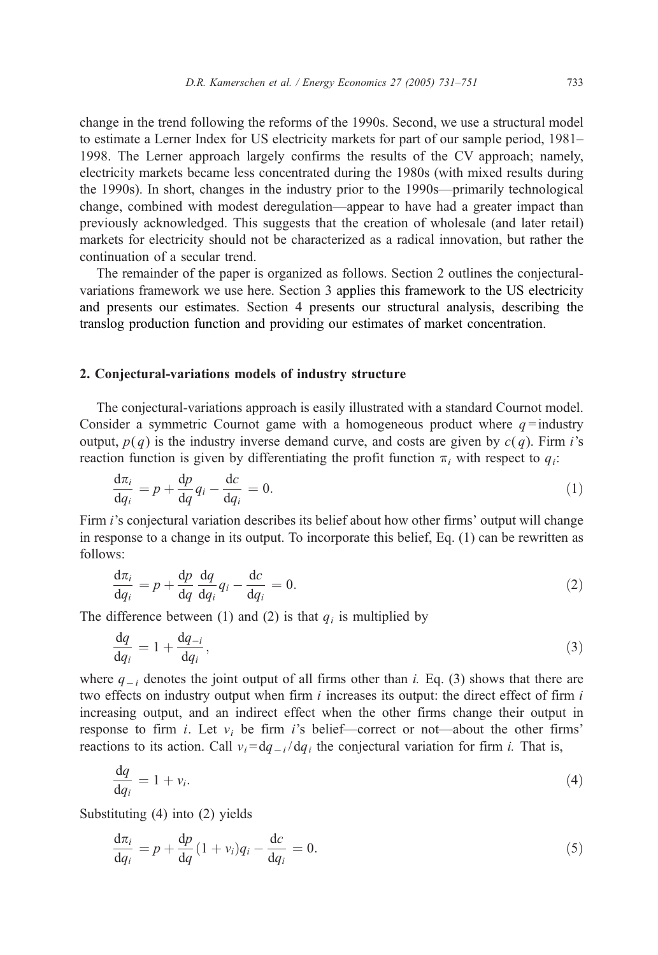change in the trend following the reforms of the 1990s. Second, we use a structural model to estimate a Lerner Index for US electricity markets for part of our sample period, 1981– 1998. The Lerner approach largely confirms the results of the CV approach; namely, electricity markets became less concentrated during the 1980s (with mixed results during the 1990s). In short, changes in the industry prior to the 1990s—primarily technological change, combined with modest deregulation—appear to have had a greater impact than previously acknowledged. This suggests that the creation of wholesale (and later retail) markets for electricity should not be characterized as a radical innovation, but rather the continuation of a secular trend.

The remainder of the paper is organized as follows. Section 2 outlines the conjecturalvariations framework we use here. Section 3 applies this framework to the US electricity and presents our estimates. Section 4 presents our structural analysis, describing the translog production function and providing our estimates of market concentration.

## 2. Conjectural-variations models of industry structure

The conjectural-variations approach is easily illustrated with a standard Cournot model. Consider a symmetric Cournot game with a homogeneous product where  $q =$ industry output,  $p(q)$  is the industry inverse demand curve, and costs are given by  $c(q)$ . Firm i's reaction function is given by differentiating the profit function  $\pi_i$  with respect to  $q_i$ :

$$
\frac{d\pi_i}{dq_i} = p + \frac{dp}{dq}q_i - \frac{dc}{dq_i} = 0.
$$
\n(1)

Firm *i*'s conjectural variation describes its belief about how other firms' output will change in response to a change in its output. To incorporate this belief, Eq. (1) can be rewritten as follows:

$$
\frac{d\pi_i}{dq_i} = p + \frac{dp}{dq} \frac{dq}{dq_i} q_i - \frac{dc}{dq_i} = 0.
$$
\n(2)

The difference between (1) and (2) is that  $q_i$  is multiplied by

$$
\frac{\mathrm{d}q}{\mathrm{d}q_i} = 1 + \frac{\mathrm{d}q_{-i}}{\mathrm{d}q_i},\tag{3}
$$

where  $q_{i}$  denotes the joint output of all firms other than i. Eq. (3) shows that there are two effects on industry output when firm  $i$  increases its output: the direct effect of firm  $i$ increasing output, and an indirect effect when the other firms change their output in response to firm *i*. Let  $v_i$  be firm *i*'s belief—correct or not—about the other firms' reactions to its action. Call  $v_i = dq_{i}/dq_i$  the conjectural variation for firm i. That is,

$$
\frac{\mathrm{d}q}{\mathrm{d}q_i} = 1 + v_i. \tag{4}
$$

Substituting (4) into (2) yields

$$
\frac{\mathrm{d}\pi_i}{\mathrm{d}q_i} = p + \frac{\mathrm{d}p}{\mathrm{d}q} (1 + v_i) q_i - \frac{\mathrm{d}c}{\mathrm{d}q_i} = 0.
$$
\n<sup>(5)</sup>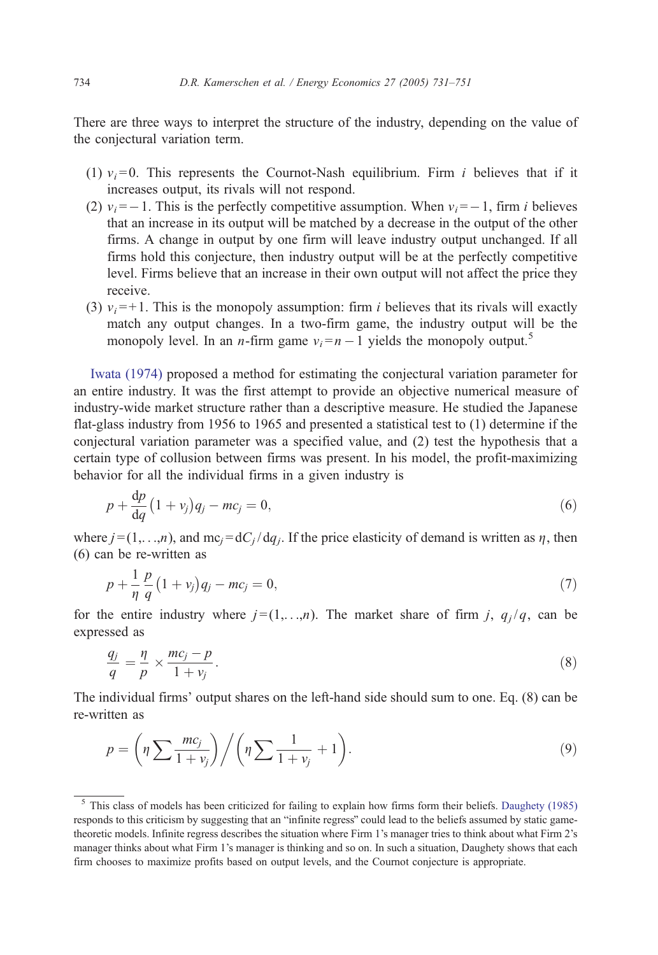There are three ways to interpret the structure of the industry, depending on the value of the conjectural variation term.

- (1)  $v_i = 0$ . This represents the Cournot-Nash equilibrium. Firm *i* believes that if it increases output, its rivals will not respond.
- (2)  $v_i = -1$ . This is the perfectly competitive assumption. When  $v_i = -1$ , firm *i* believes that an increase in its output will be matched by a decrease in the output of the other firms. A change in output by one firm will leave industry output unchanged. If all firms hold this conjecture, then industry output will be at the perfectly competitive level. Firms believe that an increase in their own output will not affect the price they receive.
- (3)  $v_i = +1$ . This is the monopoly assumption: firm *i* believes that its rivals will exactly match any output changes. In a two-firm game, the industry output will be the monopoly level. In an *n*-firm game  $v_i = n - 1$  yields the monopoly output.<sup>5</sup>

[Iwata \(1974\)](#page-19-0) proposed a method for estimating the conjectural variation parameter for an entire industry. It was the first attempt to provide an objective numerical measure of industry-wide market structure rather than a descriptive measure. He studied the Japanese flat-glass industry from 1956 to 1965 and presented a statistical test to (1) determine if the conjectural variation parameter was a specified value, and (2) test the hypothesis that a certain type of collusion between firms was present. In his model, the profit-maximizing behavior for all the individual firms in a given industry is

$$
p + \frac{\mathrm{d}p}{\mathrm{d}q} \left(1 + v_j\right) q_j - m c_j = 0, \tag{6}
$$

where  $j = (1, \ldots, n)$ , and  $mc_j = dC_j/dq_i$ . If the price elasticity of demand is written as  $\eta$ , then (6) can be re-written as

$$
p + \frac{1}{\eta} \frac{p}{q} (1 + v_j) q_j - m c_j = 0,
$$
\n(7)

for the entire industry where  $j = (1, \ldots, n)$ . The market share of firm *i*,  $q_j / q$ , can be expressed as

$$
\frac{q_j}{q} = \frac{\eta}{p} \times \frac{mc_j - p}{1 + v_j}.
$$
\n(8)

The individual firms' output shares on the left-hand side should sum to one. Eq. (8) can be re-written as

$$
p = \left(\eta \sum \frac{mc_j}{1 + v_j}\right) \bigg/ \left(\eta \sum \frac{1}{1 + v_j} + 1\right). \tag{9}
$$

<sup>5</sup> This class of models has been criticized for failing to explain how firms form their beliefs. [Daughety \(1985\)](#page-19-0) responds to this criticism by suggesting that an "infinite regress" could lead to the beliefs assumed by static gametheoretic models. Infinite regress describes the situation where Firm 1's manager tries to think about what Firm 2's manager thinks about what Firm 1's manager is thinking and so on. In such a situation, Daughety shows that each firm chooses to maximize profits based on output levels, and the Cournot conjecture is appropriate.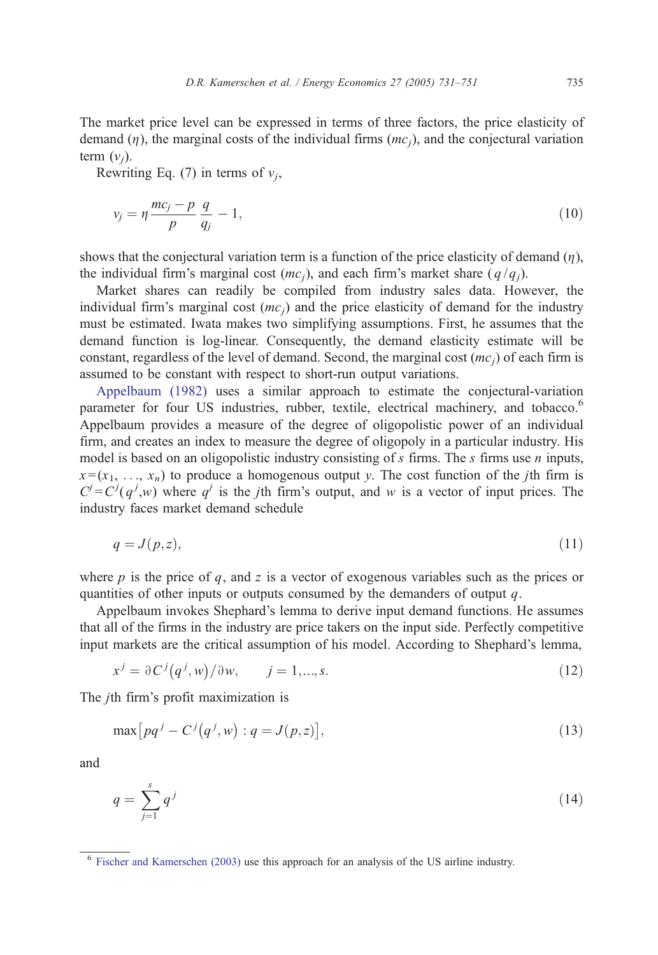The market price level can be expressed in terms of three factors, the price elasticity of demand  $(\eta)$ , the marginal costs of the individual firms  $(mc<sub>i</sub>)$ , and the conjectural variation term  $(v_i)$ .

Rewriting Eq. (7) in terms of  $v_i$ ,

$$
v_j = \eta \frac{mc_j - p}{p} \frac{q}{q_j} - 1,\tag{10}
$$

shows that the conjectural variation term is a function of the price elasticity of demand  $(\eta)$ , the individual firm's marginal cost  $(mc<sub>i</sub>)$ , and each firm's market share  $(q/q<sub>i</sub>)$ .

Market shares can readily be compiled from industry sales data. However, the individual firm's marginal cost  $(mc<sub>i</sub>)$  and the price elasticity of demand for the industry must be estimated. Iwata makes two simplifying assumptions. First, he assumes that the demand function is log-linear. Consequently, the demand elasticity estimate will be constant, regardless of the level of demand. Second, the marginal cost  $(mc_i)$  of each firm is assumed to be constant with respect to short-run output variations.

[Appelbaum \(1982\)](#page-18-0) uses a similar approach to estimate the conjectural-variation parameter for four US industries, rubber, textile, electrical machinery, and tobacco.<sup>6</sup> Appelbaum provides a measure of the degree of oligopolistic power of an individual firm, and creates an index to measure the degree of oligopoly in a particular industry. His model is based on an oligopolistic industry consisting of s firms. The s firms use n inputs,  $x = (x_1, \ldots, x_n)$  to produce a homogenous output y. The cost function of the *j*th firm is  $C^j = C^j(q^j, w)$  where q<sup>*i*</sup> is the *j*th firm's output, and w is a vector of input prices. The industry faces market demand schedule

$$
q = J(p, z),\tag{11}
$$

where p is the price of q, and z is a vector of exogenous variables such as the prices or quantities of other inputs or outputs consumed by the demanders of output  $q$ .

Appelbaum invokes Shephard's lemma to derive input demand functions. He assumes that all of the firms in the industry are price takers on the input side. Perfectly competitive input markets are the critical assumption of his model. According to Shephard's lemma,

$$
x^{j} = \partial C^{j}(q^{j}, w)/\partial w, \qquad j = 1, ..., s.
$$
 (12)

The jth firm's profit maximization is

$$
\max[pq^{j} - C^{j}(q^{j}, w) : q = J(p, z)],
$$
\n(13)

and

$$
q = \sum_{j=1}^{s} q^j \tag{14}
$$

<sup>6</sup> [Fischer and Kamerschen \(2003\)](#page-19-0) use this approach for an analysis of the US airline industry.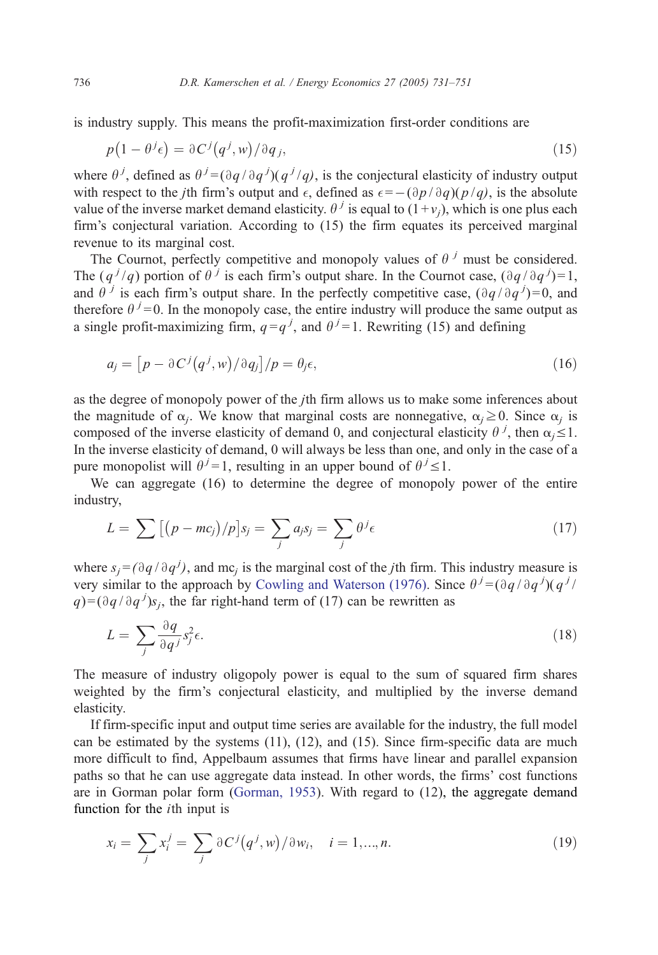is industry supply. This means the profit-maximization first-order conditions are

$$
p(1 - \theta^{j} \epsilon) = \partial C^{j}(q^{j}, w) / \partial q_{j}, \qquad (15)
$$

where  $\theta^j$ , defined as  $\theta^j = (\partial q/\partial q^j)(q^j/q)$ , is the conjectural elasticity of industry output with respect to the *j*th firm's output and  $\epsilon$ , defined as  $\epsilon =-(\partial p / \partial q)(p / q)$ , is the absolute value of the inverse market demand elasticity.  $\theta^j$  is equal to  $(1+v_j)$ , which is one plus each firm's conjectural variation. According to (15) the firm equates its perceived marginal revenue to its marginal cost.

The Cournot, perfectly competitive and monopoly values of  $\theta^{j}$  must be considered. The  $(q^{j}/q)$  portion of  $\theta^{j}$  is each firm's output share. In the Cournot case,  $(\partial q/\partial q^{j})=1$ , and  $\theta^{j}$  is each firm's output share. In the perfectly competitive case,  $(\partial q / \partial q^{j}) = 0$ , and therefore  $\theta^{j} = 0$ . In the monopoly case, the entire industry will produce the same output as a single profit-maximizing firm,  $q = q^{j}$ , and  $\theta^{j} = 1$ . Rewriting (15) and defining

$$
a_j = \left[ p - \partial C^j \left( q^j, w \right) / \partial q_j \right] / p = \theta_j \epsilon, \tag{16}
$$

as the degree of monopoly power of the jth firm allows us to make some inferences about the magnitude of  $\alpha_j$ . We know that marginal costs are nonnegative,  $\alpha_j \geq 0$ . Since  $\alpha_j$  is composed of the inverse elasticity of demand 0, and conjectural elasticity  $\theta^j$ , then  $\alpha_j \leq 1$ . In the inverse elasticity of demand, 0 will always be less than one, and only in the case of a pure monopolist will  $\theta^{j} = 1$ , resulting in an upper bound of  $\theta^{j} \leq 1$ .

We can aggregate (16) to determine the degree of monopoly power of the entire industry,

$$
L = \sum \left[ \left( p - mc_j \right) / p \right] s_j = \sum_j a_j s_j = \sum_j \theta^j \epsilon \tag{17}
$$

where  $s_j = (\partial q / \partial q^j)$ , and mc<sub>j</sub> is the marginal cost of the *j*th firm. This industry measure is very similar to the approach by [Cowling and Waterson \(1976\).](#page-19-0) Since  $\theta^{j} = (\partial q / \partial q^{j})(q^{j})$  $q$ )=( $\partial q / \partial q^{j}$ ) $s_j$ , the far right-hand term of (17) can be rewritten as

$$
L = \sum_{j} \frac{\partial q}{\partial q^{j}} s_{j}^{2} \epsilon. \tag{18}
$$

The measure of industry oligopoly power is equal to the sum of squared firm shares weighted by the firm's conjectural elasticity, and multiplied by the inverse demand elasticity.

If firm-specific input and output time series are available for the industry, the full model can be estimated by the systems  $(11)$ ,  $(12)$ , and  $(15)$ . Since firm-specific data are much more difficult to find, Appelbaum assumes that firms have linear and parallel expansion paths so that he can use aggregate data instead. In other words, the firms' cost functions are in Gorman polar form ([Gorman, 1953\)](#page-19-0). With regard to (12), the aggregate demand function for the  $i$ th input is

$$
x_i = \sum_j x_i^j = \sum_j \partial C^j (q^j, w) / \partial w_i, \quad i = 1, ..., n.
$$
 (19)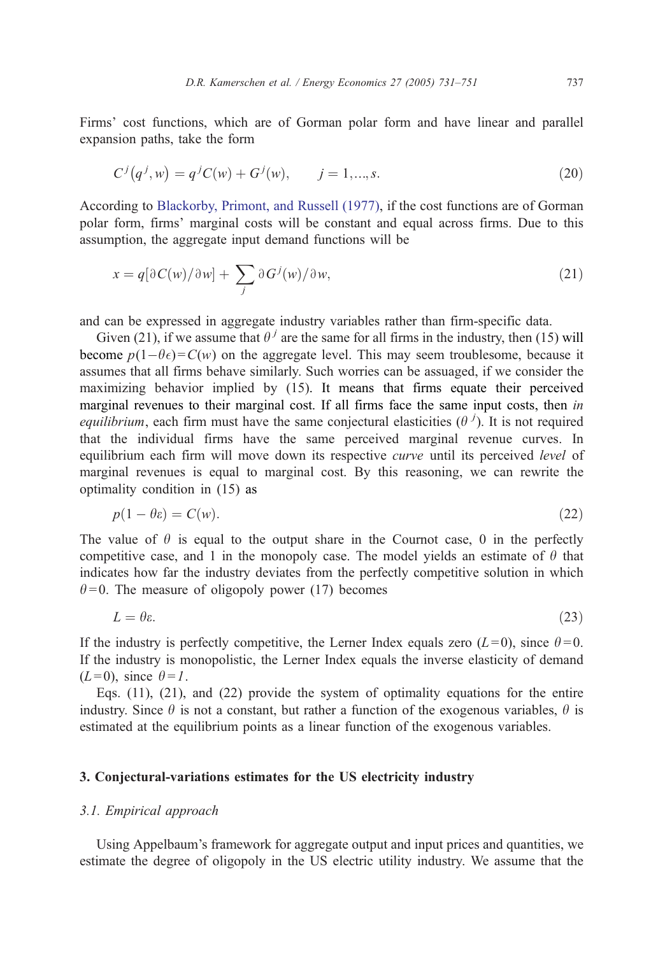Firms' cost functions, which are of Gorman polar form and have linear and parallel expansion paths, take the form

$$
C^{j}(q^{j}, w) = q^{j}C(w) + G^{j}(w), \qquad j = 1,...,s.
$$
\n(20)

According to [Blackorby, Primont, and Russell \(1977\),](#page-19-0) if the cost functions are of Gorman polar form, firms' marginal costs will be constant and equal across firms. Due to this assumption, the aggregate input demand functions will be

$$
x = q[\partial C(w)/\partial w] + \sum_{j} \partial G^{j}(w)/\partial w,
$$
\n(21)

and can be expressed in aggregate industry variables rather than firm-specific data.

Given (21), if we assume that  $\theta^{j}$  are the same for all firms in the industry, then (15) will become  $p(1-\theta \epsilon) = C(w)$  on the aggregate level. This may seem troublesome, because it assumes that all firms behave similarly. Such worries can be assuaged, if we consider the maximizing behavior implied by (15). It means that firms equate their perceived marginal revenues to their marginal cost. If all firms face the same input costs, then in equilibrium, each firm must have the same conjectural elasticities  $(\theta^j)$ . It is not required that the individual firms have the same perceived marginal revenue curves. In equilibrium each firm will move down its respective *curve* until its perceived level of marginal revenues is equal to marginal cost. By this reasoning, we can rewrite the optimality condition in (15) as

$$
p(1 - \theta \varepsilon) = C(w). \tag{22}
$$

The value of  $\theta$  is equal to the output share in the Cournot case, 0 in the perfectly competitive case, and 1 in the monopoly case. The model yields an estimate of  $\theta$  that indicates how far the industry deviates from the perfectly competitive solution in which  $\theta = 0$ . The measure of oligopoly power (17) becomes

 $L = \theta \varepsilon.$  (23)

If the industry is perfectly competitive, the Lerner Index equals zero  $(L=0)$ , since  $\theta = 0$ . If the industry is monopolistic, the Lerner Index equals the inverse elasticity of demand  $(L= 0)$ , since  $\theta = 1$ .

Eqs. (11), (21), and (22) provide the system of optimality equations for the entire industry. Since  $\theta$  is not a constant, but rather a function of the exogenous variables,  $\theta$  is estimated at the equilibrium points as a linear function of the exogenous variables.

# 3. Conjectural-variations estimates for the US electricity industry

# 3.1. Empirical approach

Using Appelbaum's framework for aggregate output and input prices and quantities, we estimate the degree of oligopoly in the US electric utility industry. We assume that the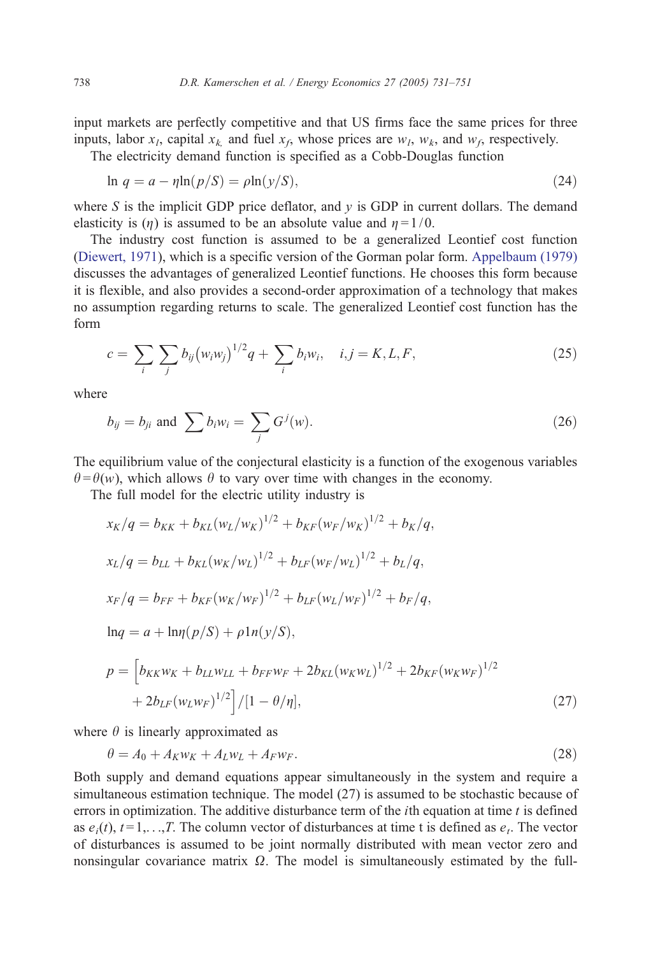input markets are perfectly competitive and that US firms face the same prices for three inputs, labor  $x_l$ , capital  $x_k$ , and fuel  $x_f$ , whose prices are  $w_l$ ,  $w_k$ , and  $w_f$ , respectively.

The electricity demand function is specified as a Cobb-Douglas function

$$
\ln q = a - \eta \ln(p/S) = \rho \ln(y/S),\tag{24}
$$

where S is the implicit GDP price deflator, and  $\nu$  is GDP in current dollars. The demand elasticity is  $(\eta)$  is assumed to be an absolute value and  $\eta = 1/0$ .

The industry cost function is assumed to be a generalized Leontief cost function ([Diewert, 1971\)](#page-19-0), which is a specific version of the Gorman polar form. [Appelbaum \(1979\)](#page-18-0) discusses the advantages of generalized Leontief functions. He chooses this form because it is flexible, and also provides a second-order approximation of a technology that makes no assumption regarding returns to scale. The generalized Leontief cost function has the form

$$
c = \sum_{i} \sum_{j} b_{ij} (w_i w_j)^{1/2} q + \sum_{i} b_i w_i, \quad i, j = K, L, F,
$$
\n(25)

where

$$
b_{ij} = b_{ji} \text{ and } \sum b_i w_i = \sum_j G^j(w). \tag{26}
$$

The equilibrium value of the conjectural elasticity is a function of the exogenous variables  $\theta = \theta(w)$ , which allows  $\theta$  to vary over time with changes in the economy.

The full model for the electric utility industry is

$$
x_K/q = b_{KK} + b_{KL}(w_L/w_K)^{1/2} + b_{KF}(w_F/w_K)^{1/2} + b_K/q,
$$
  
\n
$$
x_L/q = b_{LL} + b_{KL}(w_K/w_L)^{1/2} + b_{LF}(w_F/w_L)^{1/2} + b_L/q,
$$
  
\n
$$
x_F/q = b_{FF} + b_{KF}(w_K/w_F)^{1/2} + b_{LF}(w_L/w_F)^{1/2} + b_F/q,
$$
  
\n
$$
\ln q = a + \ln \eta (p/S) + \rho \ln \left(\frac{y}{S}\right),
$$
  
\n
$$
p = \left[ b_{KK}w_K + b_{LL}w_{LL} + b_{FF}w_F + 2b_{KL}(w_Kw_L)^{1/2} + 2b_{KF}(w_Kw_F)^{1/2} + 2b_{LF}(w_Lw_F)^{1/2} \right] / [1 - \theta/\eta],
$$
\n(27)

where  $\theta$  is linearly approximated as

$$
\theta = A_0 + A_K w_K + A_L w_L + A_F w_F. \tag{28}
$$

Both supply and demand equations appear simultaneously in the system and require a simultaneous estimation technique. The model (27) is assumed to be stochastic because of errors in optimization. The additive disturbance term of the  $i$ th equation at time  $t$  is defined as  $e_i(t)$ ,  $t = 1, \ldots, T$ . The column vector of disturbances at time t is defined as  $e_t$ . The vector of disturbances is assumed to be joint normally distributed with mean vector zero and nonsingular covariance matrix  $\Omega$ . The model is simultaneously estimated by the full-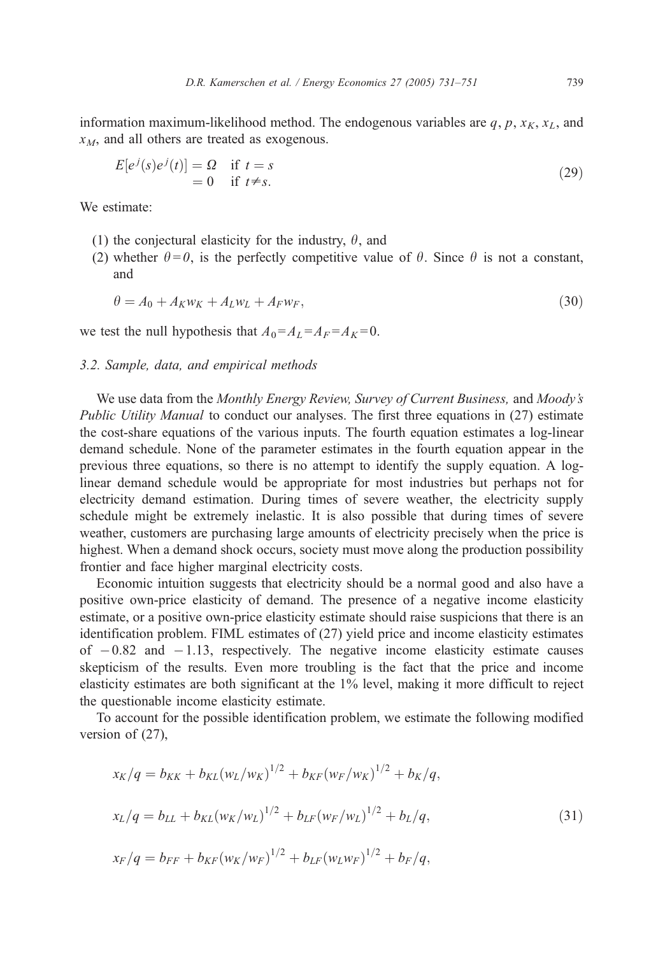information maximum-likelihood method. The endogenous variables are  $q$ ,  $p$ ,  $x<sub>K</sub>$ ,  $x<sub>L</sub>$ , and  $x_M$ , and all others are treated as exogenous.

$$
E[e^{j}(s)e^{j}(t)] = \Omega \quad \text{if } t = s
$$
  
= 0 if  $t \neq s$ . (29)

We estimate:

- (1) the conjectural elasticity for the industry,  $\theta$ , and
- (2) whether  $\theta = 0$ , is the perfectly competitive value of  $\theta$ . Since  $\theta$  is not a constant, and

$$
\theta = A_0 + A_K w_K + A_L w_L + A_F w_F, \tag{30}
$$

we test the null hypothesis that  $A_0 = A_L = A_F = A_K = 0$ .

# 3.2. Sample, data, and empirical methods

We use data from the *Monthly Energy Review, Survey of Current Business*, and *Moody's* Public Utility Manual to conduct our analyses. The first three equations in (27) estimate the cost-share equations of the various inputs. The fourth equation estimates a log-linear demand schedule. None of the parameter estimates in the fourth equation appear in the previous three equations, so there is no attempt to identify the supply equation. A loglinear demand schedule would be appropriate for most industries but perhaps not for electricity demand estimation. During times of severe weather, the electricity supply schedule might be extremely inelastic. It is also possible that during times of severe weather, customers are purchasing large amounts of electricity precisely when the price is highest. When a demand shock occurs, society must move along the production possibility frontier and face higher marginal electricity costs.

Economic intuition suggests that electricity should be a normal good and also have a positive own-price elasticity of demand. The presence of a negative income elasticity estimate, or a positive own-price elasticity estimate should raise suspicions that there is an identification problem. FIML estimates of (27) yield price and income elasticity estimates of  $-0.82$  and  $-1.13$ , respectively. The negative income elasticity estimate causes skepticism of the results. Even more troubling is the fact that the price and income elasticity estimates are both significant at the 1% level, making it more difficult to reject the questionable income elasticity estimate.

To account for the possible identification problem, we estimate the following modified version of (27),

$$
x_K/q = b_{KK} + b_{KL}(w_L/w_K)^{1/2} + b_{KF}(w_F/w_K)^{1/2} + b_K/q,
$$
  

$$
x_L/q = b_{LL} + b_{KL}(w_K/w_L)^{1/2} + b_{LF}(w_F/w_L)^{1/2} + b_L/q,
$$
 (31)

$$
x_F/q = b_{FF} + b_{KF}(w_K/w_F)^{1/2} + b_{LF}(w_Lw_F)^{1/2} + b_F/q,
$$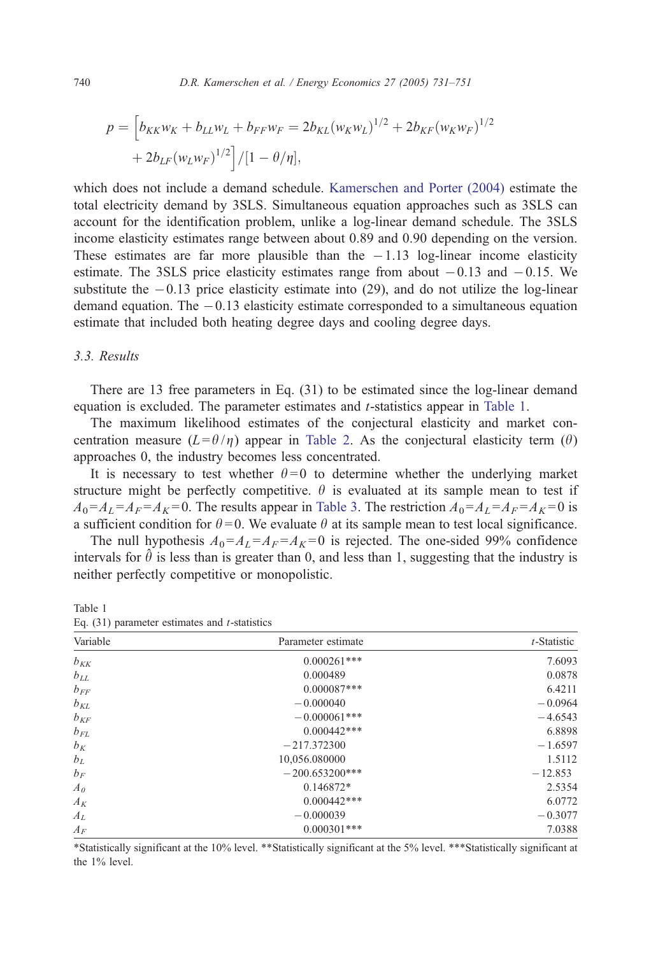740 D.R. Kamerschen et al. / Energy Economics 27 (2005) 731–751

$$
p = \left[ b_{KK} w_K + b_{LL} w_L + b_{FF} w_F = 2b_{KL} (w_K w_L)^{1/2} + 2b_{KF} (w_K w_F)^{1/2} + 2b_{LF} (w_L w_F)^{1/2} \right] / [1 - \theta / \eta],
$$

which does not include a demand schedule. [Kamerschen and Porter \(2004\)](#page-19-0) estimate the total electricity demand by 3SLS. Simultaneous equation approaches such as 3SLS can account for the identification problem, unlike a log-linear demand schedule. The 3SLS income elasticity estimates range between about 0.89 and 0.90 depending on the version. These estimates are far more plausible than the  $-1.13$  log-linear income elasticity estimate. The 3SLS price elasticity estimates range from about  $-0.13$  and  $-0.15$ . We substitute the  $-0.13$  price elasticity estimate into (29), and do not utilize the log-linear demand equation. The  $-0.13$  elasticity estimate corresponded to a simultaneous equation estimate that included both heating degree days and cooling degree days.

#### 3.3. Results

There are 13 free parameters in Eq. (31) to be estimated since the log-linear demand equation is excluded. The parameter estimates and *t*-statistics appear in Table 1.

The maximum likelihood estimates of the conjectural elasticity and market concentration measure  $(L=\theta / \eta)$  appear in [Table 2.](#page-10-0) As the conjectural elasticity term  $(\theta)$ approaches 0, the industry becomes less concentrated.

It is necessary to test whether  $\theta = 0$  to determine whether the underlying market structure might be perfectly competitive.  $\theta$  is evaluated at its sample mean to test if  $A_0 = A_L = A_F = A_K = 0$ . The results appear in [Table 3.](#page-10-0) The restriction  $A_0 = A_L = A_F = A_K = 0$  is a sufficient condition for  $\theta = 0$ . We evaluate  $\theta$  at its sample mean to test local significance.

The null hypothesis  $A_0 = A_L = A_F = A_K = 0$  is rejected. The one-sided 99% confidence intervals for  $\hat{\theta}$  is less than is greater than 0, and less than 1, suggesting that the industry is neither perfectly competitive or monopolistic.

Table 1 Eq.  $(31)$  parameter estimates and *t*-statistics

| Variable<br>Parameter estimate | $t$ -Statistic |
|--------------------------------|----------------|
| $0.000261***$<br>$b_{KK}$      | 7.6093         |
| 0.000489<br>$b_{LL}$           | 0.0878         |
| $0.000087***$<br>$b_{FF}$      | 6.4211         |
| $-0.000040$<br>$b_{KL}$        | $-0.0964$      |
| $-0.000061***$<br>$b_{KF}$     | $-4.6543$      |
| $0.000442***$<br>$b_{FL}$      | 6.8898         |
| $-217.372300$<br>$b_K$         | $-1.6597$      |
| 10,056.080000<br>$b_L$         | 1.5112         |
| $-200.653200***$<br>$b_F$      | $-12.853$      |
| 0.146872*<br>A <sub>0</sub>    | 2.5354         |
| $0.000442***$<br>$A_K$         | 6.0772         |
| $-0.000039$<br>$A_L$           | $-0.3077$      |
| $0.000301***$<br>$A_F$         | 7.0388         |

\*Statistically significant at the 10% level. \*\*Statistically significant at the 5% level. \*\*\*Statistically significant at the 1% level.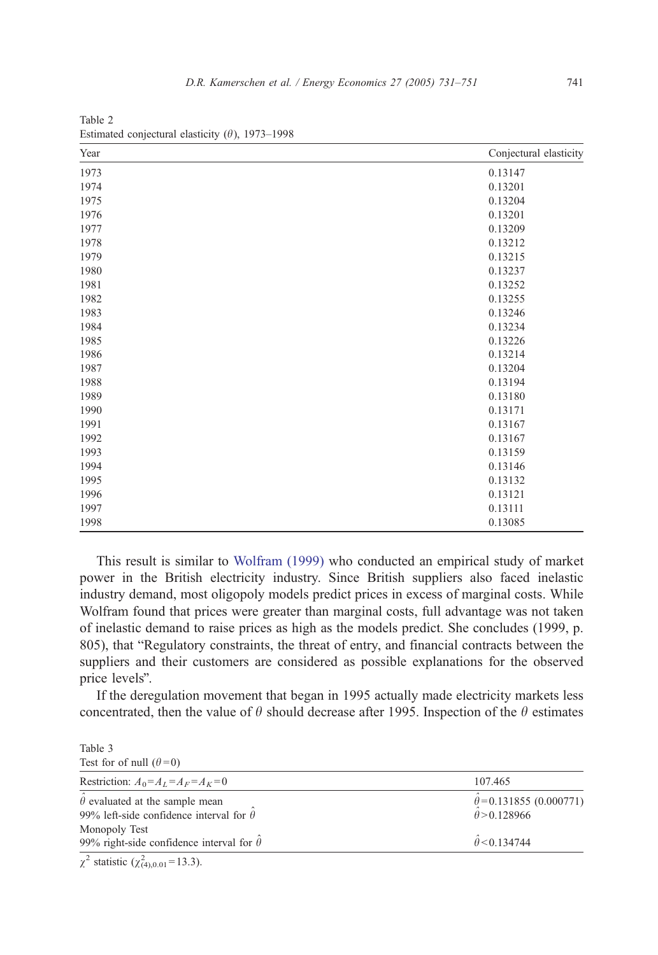<span id="page-10-0"></span>Table 2 Estimated conjectural elasticity  $(\theta)$ , 1973–1998

| Year | Conjectural elasticity |
|------|------------------------|
| 1973 | 0.13147                |
| 1974 | 0.13201                |
| 1975 | 0.13204                |
| 1976 | 0.13201                |
| 1977 | 0.13209                |
| 1978 | 0.13212                |
| 1979 | 0.13215                |
| 1980 | 0.13237                |
| 1981 | 0.13252                |
| 1982 | 0.13255                |
| 1983 | 0.13246                |
| 1984 | 0.13234                |
| 1985 | 0.13226                |
| 1986 | 0.13214                |
| 1987 | 0.13204                |
| 1988 | 0.13194                |
| 1989 | 0.13180                |
| 1990 | 0.13171                |
| 1991 | 0.13167                |
| 1992 | 0.13167                |
| 1993 | 0.13159                |
| 1994 | 0.13146                |
| 1995 | 0.13132                |
| 1996 | 0.13121                |
| 1997 | 0.13111                |
| 1998 | 0.13085                |

This result is similar to [Wolfram \(1999\)](#page-20-0) who conducted an empirical study of market power in the British electricity industry. Since British suppliers also faced inelastic industry demand, most oligopoly models predict prices in excess of marginal costs. While Wolfram found that prices were greater than marginal costs, full advantage was not taken of inelastic demand to raise prices as high as the models predict. She concludes (1999, p. 805), that "Regulatory constraints, the threat of entry, and financial contracts between the suppliers and their customers are considered as possible explanations for the observed price levels".

If the deregulation movement that began in 1995 actually made electricity markets less concentrated, then the value of  $\theta$  should decrease after 1995. Inspection of the  $\theta$  estimates

Table 3 Test for of null  $(\theta = 0)$ Restriction:  $A_0 = A_L = A_F = A_K = 0$  107.465  $\hat{\theta}$  evaluated at the sample mean  $\hat{\theta}$  $\hat{\theta}$  = 0.131855 (0.000771) 99% left-side confidence interval for  $\theta$  $\hat{\theta}$  and  $\hat{\theta}$  $\theta$  > 0.128966 Monopoly Test 99% right-side confidence interval for  $\hat{\theta}$  $\hat{\theta}$  and  $\hat{\theta}$  $\hat{\theta}$  < 0.134744

 $\chi^2$  statistic ( $\chi^2_{(4),0.01}$ =13.3).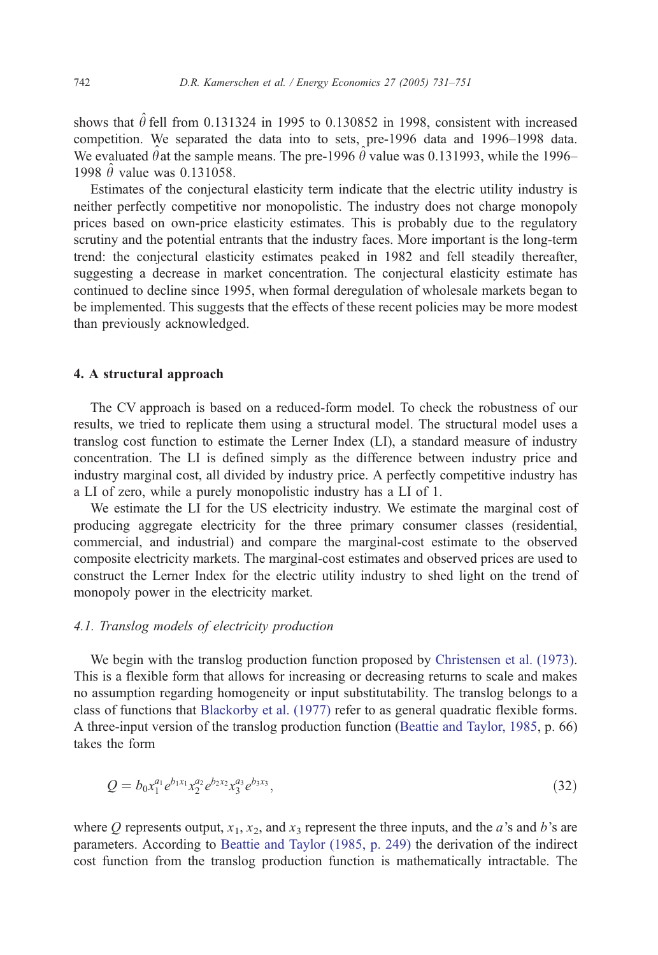shows that  $\hat{\theta}$  fell from 0.131324 in 1995 to 0.130852 in 1998, consistent with increased competition. We separated the data into to sets, pre-1996 data and 1996–1998 data. We evaluated  $\hat{\theta}$  at the sample means. The pre-1996  $\hat{\theta}$  value was 0.131993, while the 1996– 1998  $\hat{\theta}$  value was 0.131058.

Estimates of the conjectural elasticity term indicate that the electric utility industry is neither perfectly competitive nor monopolistic. The industry does not charge monopoly prices based on own-price elasticity estimates. This is probably due to the regulatory scrutiny and the potential entrants that the industry faces. More important is the long-term trend: the conjectural elasticity estimates peaked in 1982 and fell steadily thereafter, suggesting a decrease in market concentration. The conjectural elasticity estimate has continued to decline since 1995, when formal deregulation of wholesale markets began to be implemented. This suggests that the effects of these recent policies may be more modest than previously acknowledged.

#### 4. A structural approach

The CV approach is based on a reduced-form model. To check the robustness of our results, we tried to replicate them using a structural model. The structural model uses a translog cost function to estimate the Lerner Index (LI), a standard measure of industry concentration. The LI is defined simply as the difference between industry price and industry marginal cost, all divided by industry price. A perfectly competitive industry has a LI of zero, while a purely monopolistic industry has a LI of 1.

We estimate the LI for the US electricity industry. We estimate the marginal cost of producing aggregate electricity for the three primary consumer classes (residential, commercial, and industrial) and compare the marginal-cost estimate to the observed composite electricity markets. The marginal-cost estimates and observed prices are used to construct the Lerner Index for the electric utility industry to shed light on the trend of monopoly power in the electricity market.

#### 4.1. Translog models of electricity production

We begin with the translog production function proposed by [Christensen et al. \(1973\).](#page-19-0) This is a flexible form that allows for increasing or decreasing returns to scale and makes no assumption regarding homogeneity or input substitutability. The translog belongs to a class of functions that [Blackorby et al. \(1977\)](#page-19-0) refer to as general quadratic flexible forms. A three-input version of the translog production function ([Beattie and Taylor, 1985,](#page-18-0) p. 66) takes the form

$$
Q = b_0 x_1^{a_1} e^{b_1 x_1} x_2^{a_2} e^{b_2 x_2} x_3^{a_3} e^{b_3 x_3}, \tag{32}
$$

where Q represents output,  $x_1$ ,  $x_2$ , and  $x_3$  represent the three inputs, and the a's and b's are parameters. According to [Beattie and Taylor \(1985, p. 249\)](#page-18-0) the derivation of the indirect cost function from the translog production function is mathematically intractable. The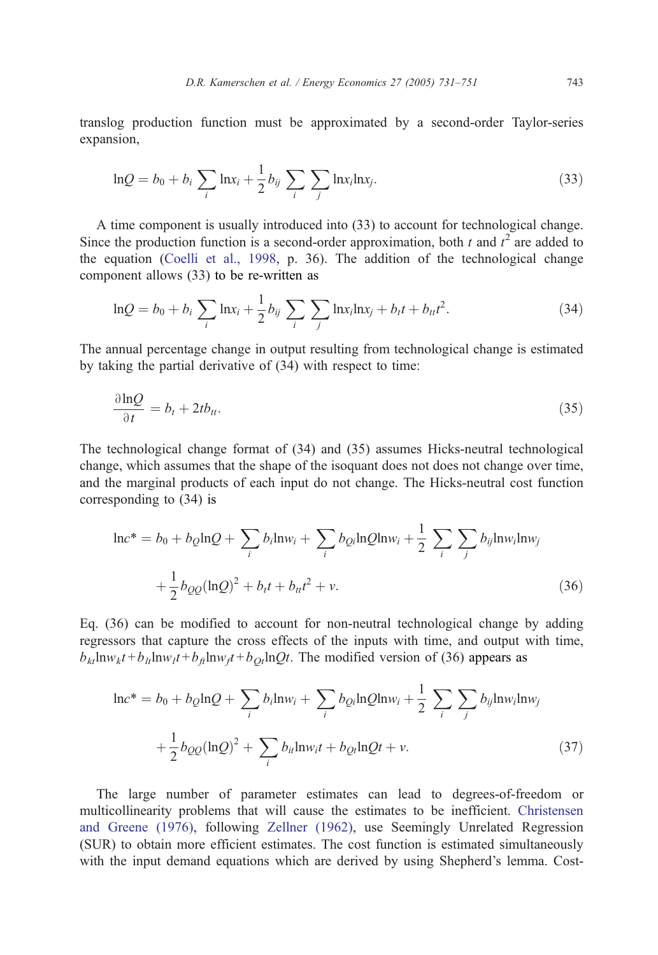translog production function must be approximated by a second-order Taylor-series expansion,

$$
\ln Q = b_0 + b_i \sum_i \ln x_i + \frac{1}{2} b_{ij} \sum_i \sum_j \ln x_i \ln x_j.
$$
 (33)

A time component is usually introduced into (33) to account for technological change. Since the production function is a second-order approximation, both t and  $t^2$  are added to the equation ([Coelli et al., 1998,](#page-19-0) p. 36). The addition of the technological change component allows (33) to be re-written as

$$
\ln Q = b_0 + b_i \sum_i \ln x_i + \frac{1}{2} b_{ij} \sum_i \sum_j \ln x_i \ln x_j + b_t t + b_{tt} t^2.
$$
 (34)

The annual percentage change in output resulting from technological change is estimated by taking the partial derivative of (34) with respect to time:

$$
\frac{\partial \ln Q}{\partial t} = b_t + 2tb_{tt}.\tag{35}
$$

The technological change format of (34) and (35) assumes Hicks-neutral technological change, which assumes that the shape of the isoquant does not does not change over time, and the marginal products of each input do not change. The Hicks-neutral cost function corresponding to (34) is

$$
\ln c^* = b_0 + b_Q \ln Q + \sum_i b_i \ln w_i + \sum_i b_{Qi} \ln Q \ln w_i + \frac{1}{2} \sum_i \sum_j b_{ij} \ln w_i \ln w_j + \frac{1}{2} b_{QQ} (\ln Q)^2 + b_t t + b_{tt} t^2 + v.
$$
\n(36)

Eq. (36) can be modified to account for non-neutral technological change by adding regressors that capture the cross effects of the inputs with time, and output with time,  $b_{kt}$ lnw<sub>k</sub>t +  $b_{lt}$ lnw<sub>l</sub>t +  $b_{ft}$ lnw<sub>l</sub>t +  $b_{Qt}$ lnQt. The modified version of (36) appears as

$$
\ln c^* = b_0 + b_Q \ln Q + \sum_i b_i \ln w_i + \sum_i b_{Qi} \ln Q \ln w_i + \frac{1}{2} \sum_i \sum_j b_{ij} \ln w_i \ln w_j
$$

$$
+ \frac{1}{2} b_{QQ} (\ln Q)^2 + \sum_i b_{ii} \ln w_i t + b_{Qi} \ln Qt + v. \tag{37}
$$

The large number of parameter estimates can lead to degrees-of-freedom or multicollinearity problems that will cause the estimates to be inefficient. [Christensen](#page-19-0) and Greene (1976), following [Zellner \(1962\),](#page-20-0) use Seemingly Unrelated Regression (SUR) to obtain more efficient estimates. The cost function is estimated simultaneously with the input demand equations which are derived by using Shepherd's lemma. Cost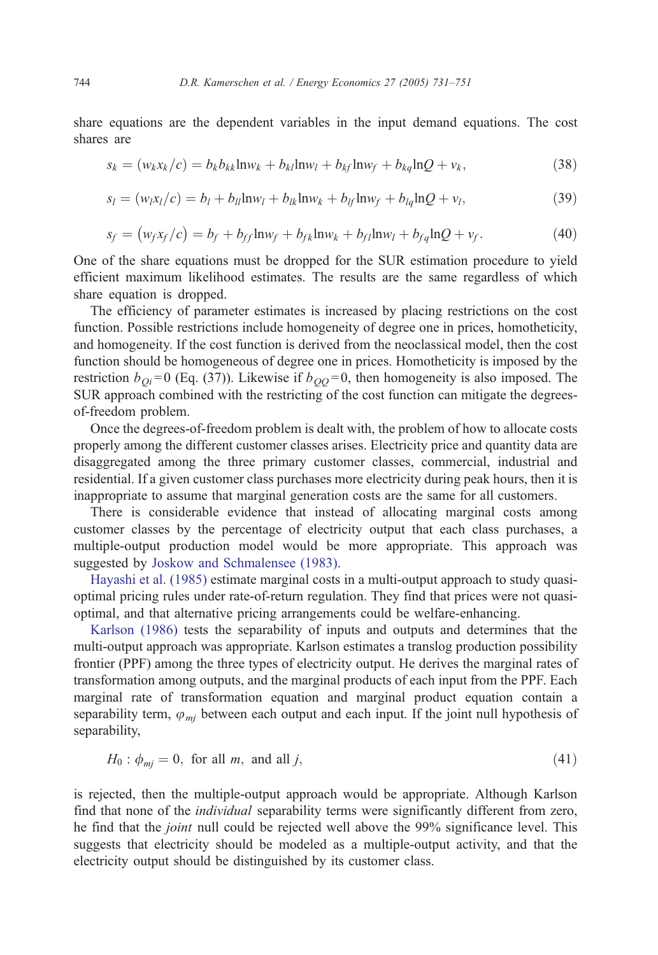share equations are the dependent variables in the input demand equations. The cost shares are

$$
s_k = (w_k x_k/c) = b_k b_{kk} \ln w_k + b_{kl} \ln w_l + b_{kf} \ln w_f + b_{kq} \ln Q + v_k,
$$
\n(38)

$$
s_l = (w_l x_l/c) = b_l + b_{ll} \ln w_l + b_{lk} \ln w_k + b_{lf} \ln w_f + b_{lq} \ln Q + v_l,
$$
\n(39)

$$
s_f = (w_f x_f/c) = b_f + b_{ff} \ln w_f + b_{fk} \ln w_k + b_{fl} \ln w_l + b_{fq} \ln Q + v_f.
$$
 (40)

One of the share equations must be dropped for the SUR estimation procedure to yield efficient maximum likelihood estimates. The results are the same regardless of which share equation is dropped.

The efficiency of parameter estimates is increased by placing restrictions on the cost function. Possible restrictions include homogeneity of degree one in prices, homotheticity, and homogeneity. If the cost function is derived from the neoclassical model, then the cost function should be homogeneous of degree one in prices. Homotheticity is imposed by the restriction  $b_{Qi} = 0$  (Eq. (37)). Likewise if  $b_{OO} = 0$ , then homogeneity is also imposed. The SUR approach combined with the restricting of the cost function can mitigate the degreesof-freedom problem.

Once the degrees-of-freedom problem is dealt with, the problem of how to allocate costs properly among the different customer classes arises. Electricity price and quantity data are disaggregated among the three primary customer classes, commercial, industrial and residential. If a given customer class purchases more electricity during peak hours, then it is inappropriate to assume that marginal generation costs are the same for all customers.

There is considerable evidence that instead of allocating marginal costs among customer classes by the percentage of electricity output that each class purchases, a multiple-output production model would be more appropriate. This approach was suggested by [Joskow and Schmalensee \(1983\).](#page-19-0)

[Hayashi et al. \(1985\)](#page-19-0) estimate marginal costs in a multi-output approach to study quasioptimal pricing rules under rate-of-return regulation. They find that prices were not quasioptimal, and that alternative pricing arrangements could be welfare-enhancing.

[Karlson \(1986\)](#page-19-0) tests the separability of inputs and outputs and determines that the multi-output approach was appropriate. Karlson estimates a translog production possibility frontier (PPF) among the three types of electricity output. He derives the marginal rates of transformation among outputs, and the marginal products of each input from the PPF. Each marginal rate of transformation equation and marginal product equation contain a separability term,  $\varphi_{mi}$  between each output and each input. If the joint null hypothesis of separability,

$$
H_0: \phi_{mj} = 0, \text{ for all } m, \text{ and all } j,
$$
\n
$$
(41)
$$

is rejected, then the multiple-output approach would be appropriate. Although Karlson find that none of the *individual* separability terms were significantly different from zero, he find that the joint null could be rejected well above the 99% significance level. This suggests that electricity should be modeled as a multiple-output activity, and that the electricity output should be distinguished by its customer class.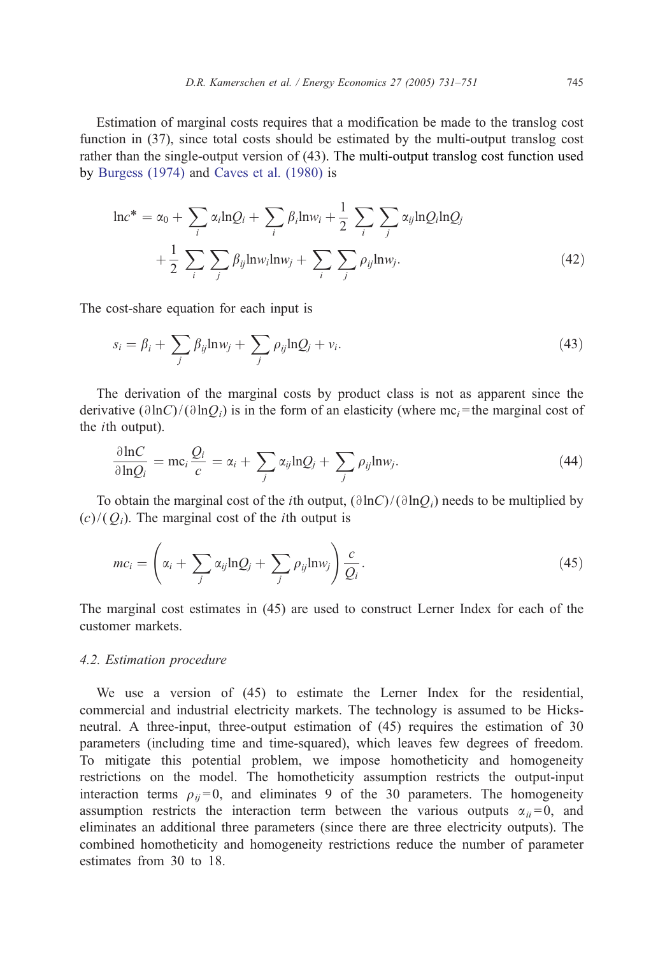Estimation of marginal costs requires that a modification be made to the translog cost function in (37), since total costs should be estimated by the multi-output translog cost rather than the single-output version of (43). The multi-output translog cost function used by [Burgess \(1974\)](#page-19-0) and [Caves et al. \(1980\)](#page-19-0) is

$$
\ln c^* = \alpha_0 + \sum_i \alpha_i \ln Q_i + \sum_i \beta_i \ln w_i + \frac{1}{2} \sum_i \sum_j \alpha_{ij} \ln Q_i \ln Q_j + \frac{1}{2} \sum_i \sum_j \beta_{ij} \ln w_i \ln w_j + \sum_i \sum_j \rho_{ij} \ln w_j.
$$
 (42)

The cost-share equation for each input is

$$
s_i = \beta_i + \sum_j \beta_{ij} \ln w_j + \sum_j \rho_{ij} \ln Q_j + v_i.
$$
\n(43)

The derivation of the marginal costs by product class is not as apparent since the derivative  $(\partial \ln C)/(\partial \ln Q_i)$  is in the form of an elasticity (where mc<sub>i</sub>=the marginal cost of the ith output).

$$
\frac{\partial \ln C}{\partial \ln Q_i} = \text{mc}_i \frac{Q_i}{c} = \alpha_i + \sum_j \alpha_{ij} \ln Q_j + \sum_j \rho_{ij} \ln w_j.
$$
 (44)

To obtain the marginal cost of the *i*th output,  $(\partial \ln C)/(\partial \ln Q_i)$  needs to be multiplied by  $(c)/(Q<sub>i</sub>)$ . The marginal cost of the *i*th output is

$$
mc_i = \left(\alpha_i + \sum_j \alpha_{ij} \ln Q_j + \sum_j \rho_{ij} \ln w_j\right) \frac{c}{Q_i}.
$$
\n(45)

The marginal cost estimates in (45) are used to construct Lerner Index for each of the customer markets.

# 4.2. Estimation procedure

We use a version of (45) to estimate the Lerner Index for the residential, commercial and industrial electricity markets. The technology is assumed to be Hicksneutral. A three-input, three-output estimation of (45) requires the estimation of 30 parameters (including time and time-squared), which leaves few degrees of freedom. To mitigate this potential problem, we impose homotheticity and homogeneity restrictions on the model. The homotheticity assumption restricts the output-input interaction terms  $\rho_{ii} = 0$ , and eliminates 9 of the 30 parameters. The homogeneity assumption restricts the interaction term between the various outputs  $\alpha_{ii} = 0$ , and eliminates an additional three parameters (since there are three electricity outputs). The combined homotheticity and homogeneity restrictions reduce the number of parameter estimates from 30 to 18.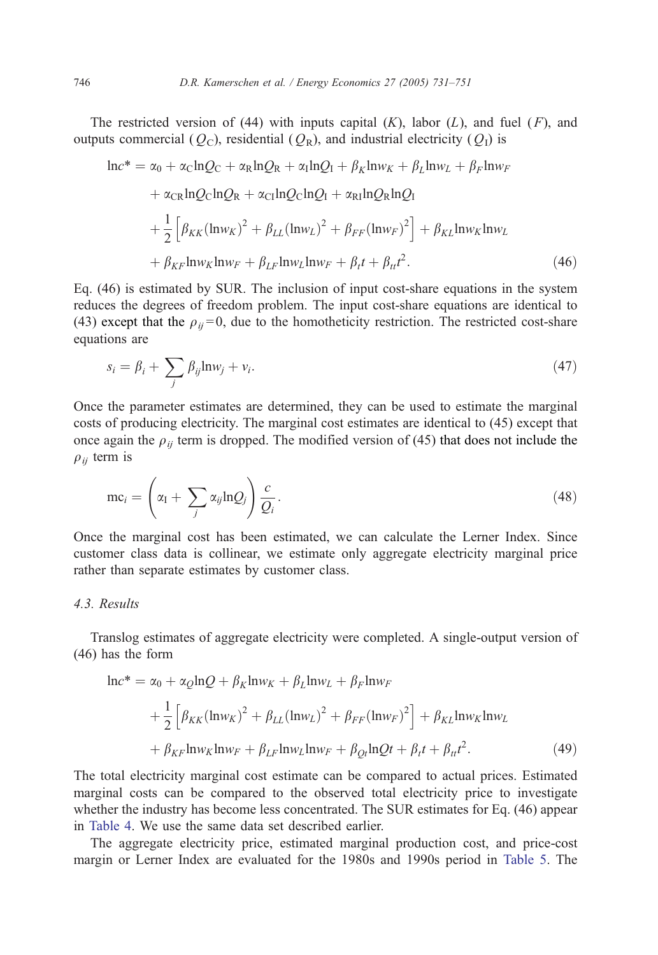The restricted version of (44) with inputs capital  $(K)$ , labor  $(L)$ , and fuel  $(F)$ , and outputs commercial ( $Q_C$ ), residential ( $Q_R$ ), and industrial electricity ( $Q_I$ ) is

$$
\ln c^* = \alpha_0 + \alpha_C \ln Q_C + \alpha_R \ln Q_R + \alpha_I \ln Q_I + \beta_K \ln w_K + \beta_L \ln w_L + \beta_F \ln w_F
$$
  
+ 
$$
\alpha_{CR} \ln Q_C \ln Q_R + \alpha_{CI} \ln Q_C \ln Q_I + \alpha_{RI} \ln Q_R \ln Q_I
$$
  
+ 
$$
\frac{1}{2} \left[ \beta_{KK} (\ln w_K)^2 + \beta_{LL} (\ln w_L)^2 + \beta_{FF} (\ln w_F)^2 \right] + \beta_{KL} \ln w_K \ln w_L
$$
  
+ 
$$
\beta_{KF} \ln w_K \ln w_F + \beta_{LF} \ln w_L \ln w_F + \beta_t t + \beta_{tt} t^2.
$$
 (46)

Eq. (46) is estimated by SUR. The inclusion of input cost-share equations in the system reduces the degrees of freedom problem. The input cost-share equations are identical to (43) except that the  $\rho_{ij} = 0$ , due to the homotheticity restriction. The restricted cost-share equations are

$$
s_i = \beta_i + \sum_j \beta_{ij} \ln w_j + v_i. \tag{47}
$$

Once the parameter estimates are determined, they can be used to estimate the marginal costs of producing electricity. The marginal cost estimates are identical to (45) except that once again the  $\rho_{ij}$  term is dropped. The modified version of (45) that does not include the  $\rho_{ij}$  term is

$$
\mathrm{mc}_i = \left(\alpha_1 + \sum_j \alpha_{ij} \mathrm{ln}Q_j\right) \frac{c}{Q_i}.\tag{48}
$$

Once the marginal cost has been estimated, we can calculate the Lerner Index. Since customer class data is collinear, we estimate only aggregate electricity marginal price rather than separate estimates by customer class.

# 4.3. Results

Translog estimates of aggregate electricity were completed. A single-output version of (46) has the form

$$
\ln c^* = \alpha_0 + \alpha_Q \ln Q + \beta_K \ln w_K + \beta_L \ln w_L + \beta_F \ln w_F
$$
  
+ 
$$
\frac{1}{2} \left[ \beta_{KK} (\ln w_K)^2 + \beta_{LL} (\ln w_L)^2 + \beta_{FF} (\ln w_F)^2 \right] + \beta_{KL} \ln w_K \ln w_L
$$
  
+ 
$$
\beta_{KF} \ln w_K \ln w_F + \beta_{LF} \ln w_L \ln w_F + \beta_{Qt} \ln Qt + \beta_t t + \beta_{tt} t^2.
$$
 (49)

The total electricity marginal cost estimate can be compared to actual prices. Estimated marginal costs can be compared to the observed total electricity price to investigate whether the industry has become less concentrated. The SUR estimates for Eq. (46) appear in [Table 4.](#page-16-0) We use the same data set described earlier.

The aggregate electricity price, estimated marginal production cost, and price-cost margin or Lerner Index are evaluated for the 1980s and 1990s period in [Table 5.](#page-16-0) The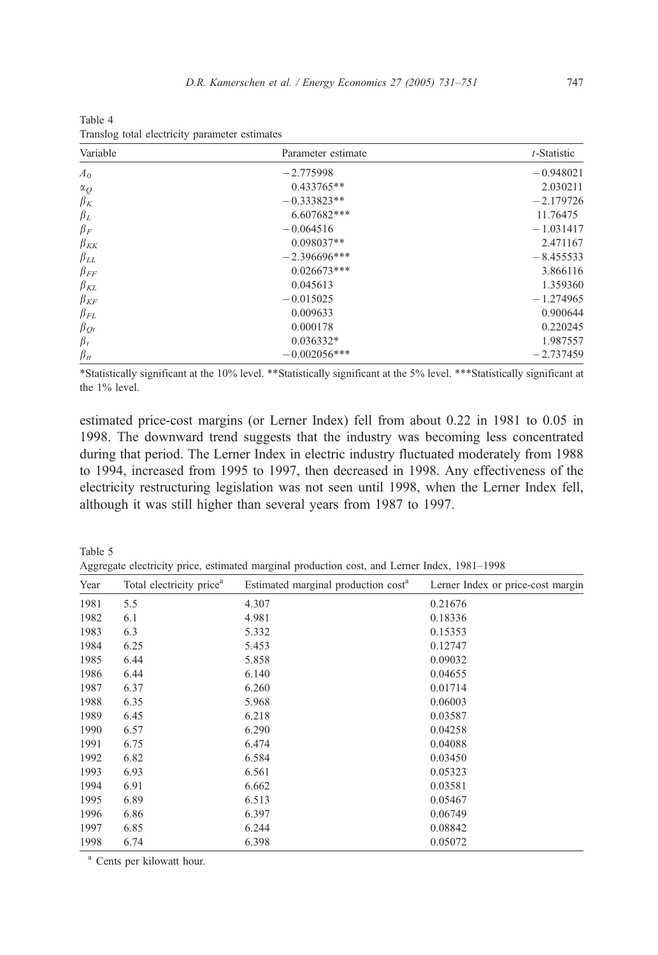| Variable       | Parameter estimate | t-Statistic |
|----------------|--------------------|-------------|
| A <sub>0</sub> | $-2.775998$        | $-0.948021$ |
| $\alpha_Q$     | 0.433765**         | 2.030211    |
| $\beta_K$      | $-0.333823**$      | $-2.179726$ |
| $\beta_L$      | 6.607682***        | 11.76475    |
| $\beta_F$      | $-0.064516$        | $-1.031417$ |
| $\beta_{KK}$   | $0.098037**$       | 2.471167    |
| $\beta_{LL}$   | $-2.396696***$     | $-8.455533$ |
| $\beta_{FF}$   | $0.026673***$      | 3.866116    |
| $\beta_{KL}$   | 0.045613           | 1.359360    |
| $\beta_{KF}$   | $-0.015025$        | $-1.274965$ |
| $\beta_{FL}$   | 0.009633           | 0.900644    |
| $\beta_{Qt}$   | 0.000178           | 0.220245    |
| $\beta_t$      | $0.036332*$        | 1.987557    |
| $\beta_{tt}$   | $-0.002056***$     | $-2.737459$ |

<span id="page-16-0"></span>Table 4 Translog total electricity parameter estimates

\*Statistically significant at the 10% level. \*\*Statistically significant at the 5% level. \*\*\*Statistically significant at the 1% level.

estimated price-cost margins (or Lerner Index) fell from about 0.22 in 1981 to 0.05 in 1998. The downward trend suggests that the industry was becoming less concentrated during that period. The Lerner Index in electric industry fluctuated moderately from 1988 to 1994, increased from 1995 to 1997, then decreased in 1998. Any effectiveness of the electricity restructuring legislation was not seen until 1998, when the Lerner Index fell, although it was still higher than several years from 1987 to 1997.

Table 5

Aggregate electricity price, estimated marginal production cost, and Lerner Index, 1981–1998

| Year | Total electricity price <sup>a</sup> | Estimated marginal production cost <sup>a</sup> | Lerner Index or price-cost margin |
|------|--------------------------------------|-------------------------------------------------|-----------------------------------|
| 1981 | 5.5                                  | 4.307                                           | 0.21676                           |
| 1982 | 6.1                                  | 4.981                                           | 0.18336                           |
| 1983 | 6.3                                  | 5.332                                           | 0.15353                           |
| 1984 | 6.25                                 | 5.453                                           | 0.12747                           |
| 1985 | 6.44                                 | 5.858                                           | 0.09032                           |
| 1986 | 6.44                                 | 6.140                                           | 0.04655                           |
| 1987 | 6.37                                 | 6.260                                           | 0.01714                           |
| 1988 | 6.35                                 | 5.968                                           | 0.06003                           |
| 1989 | 6.45                                 | 6.218                                           | 0.03587                           |
| 1990 | 6.57                                 | 6.290                                           | 0.04258                           |
| 1991 | 6.75                                 | 6.474                                           | 0.04088                           |
| 1992 | 6.82                                 | 6.584                                           | 0.03450                           |
| 1993 | 6.93                                 | 6.561                                           | 0.05323                           |
| 1994 | 6.91                                 | 6.662                                           | 0.03581                           |
| 1995 | 6.89                                 | 6.513                                           | 0.05467                           |
| 1996 | 6.86                                 | 6.397                                           | 0.06749                           |
| 1997 | 6.85                                 | 6.244                                           | 0.08842                           |
| 1998 | 6.74                                 | 6.398                                           | 0.05072                           |

<sup>a</sup> Cents per kilowatt hour.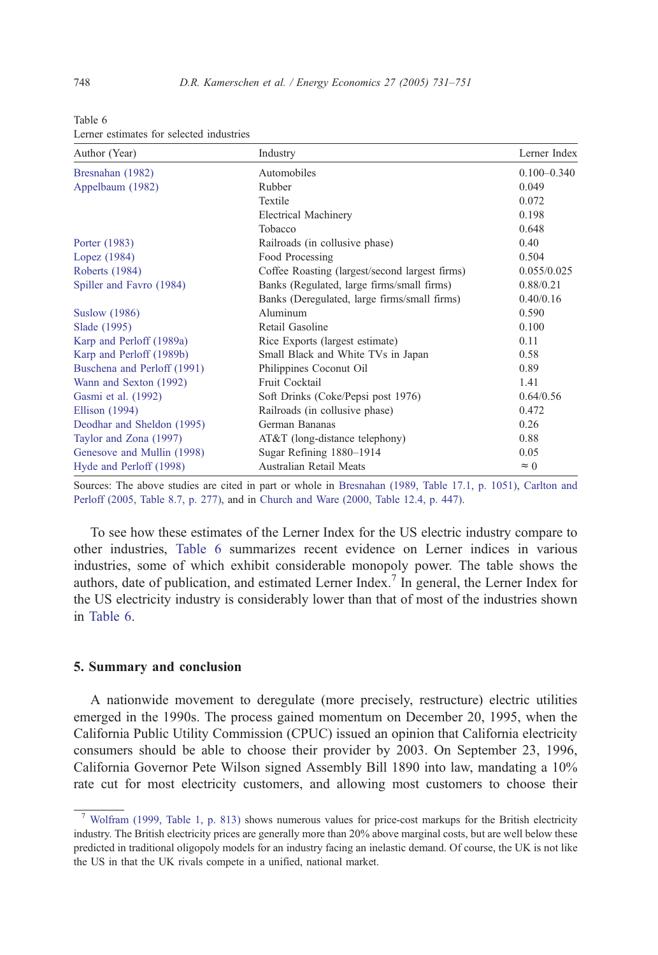| Author (Year)               | Industry                                       | Lerner Index    |
|-----------------------------|------------------------------------------------|-----------------|
| Bresnahan (1982)            | Automobiles                                    | $0.100 - 0.340$ |
| Appelbaum (1982)            | Rubber                                         | 0.049           |
|                             | Textile                                        | 0.072           |
|                             | <b>Electrical Machinery</b>                    | 0.198           |
|                             | Tobacco                                        | 0.648           |
| Porter (1983)               | Railroads (in collusive phase)                 | 0.40            |
| Lopez (1984)                | Food Processing                                | 0.504           |
| <b>Roberts</b> (1984)       | Coffee Roasting (largest/second largest firms) | 0.055/0.025     |
| Spiller and Favro (1984)    | Banks (Regulated, large firms/small firms)     | 0.88/0.21       |
|                             | Banks (Deregulated, large firms/small firms)   | 0.40/0.16       |
| <b>Suslow</b> (1986)        | Aluminum                                       | 0.590           |
| Slade (1995)                | Retail Gasoline                                | 0.100           |
| Karp and Perloff (1989a)    | Rice Exports (largest estimate)                | 0.11            |
| Karp and Perloff (1989b)    | Small Black and White TVs in Japan             | 0.58            |
| Buschena and Perloff (1991) | Philippines Coconut Oil                        | 0.89            |
| Wann and Sexton (1992)      | Fruit Cocktail                                 | 1.41            |
| Gasmi et al. (1992)         | Soft Drinks (Coke/Pepsi post 1976)             | 0.64/0.56       |
| Ellison $(1994)$            | Railroads (in collusive phase)                 | 0.472           |
| Deodhar and Sheldon (1995)  | German Bananas                                 | 0.26            |
| Taylor and Zona (1997)      | AT&T (long-distance telephony)                 | 0.88            |
| Genesove and Mullin (1998)  | Sugar Refining 1880-1914                       | 0.05            |
| Hyde and Perloff (1998)     | Australian Retail Meats                        | $\approx 0$     |

Table 6 Lerner estimates for selected industries

Sources: The above studies are cited in part or whole in [Bresnahan \(1989, Table 17.1, p. 1051\),](#page-19-0) [Carlton and](#page-19-0) Perloff (2005, Table 8.7, p. 277), and in [Church and Ware \(2000, Table 12.4, p. 447\).](#page-19-0)

To see how these estimates of the Lerner Index for the US electric industry compare to other industries, Table 6 summarizes recent evidence on Lerner indices in various industries, some of which exhibit considerable monopoly power. The table shows the authors, date of publication, and estimated Lerner Index.<sup>7</sup> In general, the Lerner Index for the US electricity industry is considerably lower than that of most of the industries shown in Table 6.

#### 5. Summary and conclusion

A nationwide movement to deregulate (more precisely, restructure) electric utilities emerged in the 1990s. The process gained momentum on December 20, 1995, when the California Public Utility Commission (CPUC) issued an opinion that California electricity consumers should be able to choose their provider by 2003. On September 23, 1996, California Governor Pete Wilson signed Assembly Bill 1890 into law, mandating a 10% rate cut for most electricity customers, and allowing most customers to choose their

<sup>7</sup> [Wolfram \(1999, Table 1, p. 813\)](#page-20-0) shows numerous values for price-cost markups for the British electricity industry. The British electricity prices are generally more than 20% above marginal costs, but are well below these predicted in traditional oligopoly models for an industry facing an inelastic demand. Of course, the UK is not like the US in that the UK rivals compete in a unified, national market.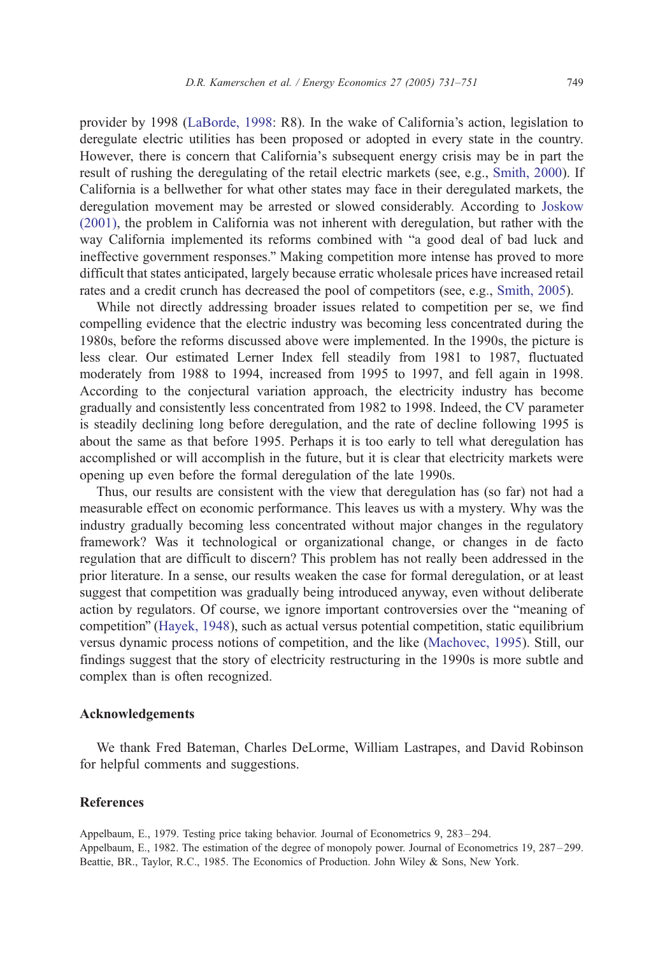<span id="page-18-0"></span>provider by 1998 ([LaBorde, 1998:](#page-20-0) R8). In the wake of California's action, legislation to deregulate electric utilities has been proposed or adopted in every state in the country. However, there is concern that California's subsequent energy crisis may be in part the result of rushing the deregulating of the retail electric markets (see, e.g., [Smith, 2000\)](#page-20-0). If California is a bellwether for what other states may face in their deregulated markets, the deregulation movement may be arrested or slowed considerably. According to [Joskow](#page-19-0) (2001), the problem in California was not inherent with deregulation, but rather with the way California implemented its reforms combined with "a good deal of bad luck and ineffective government responses." Making competition more intense has proved to more difficult that states anticipated, largely because erratic wholesale prices have increased retail rates and a credit crunch has decreased the pool of competitors (see, e.g., [Smith, 2005\)](#page-20-0).

While not directly addressing broader issues related to competition per se, we find compelling evidence that the electric industry was becoming less concentrated during the 1980s, before the reforms discussed above were implemented. In the 1990s, the picture is less clear. Our estimated Lerner Index fell steadily from 1981 to 1987, fluctuated moderately from 1988 to 1994, increased from 1995 to 1997, and fell again in 1998. According to the conjectural variation approach, the electricity industry has become gradually and consistently less concentrated from 1982 to 1998. Indeed, the CV parameter is steadily declining long before deregulation, and the rate of decline following 1995 is about the same as that before 1995. Perhaps it is too early to tell what deregulation has accomplished or will accomplish in the future, but it is clear that electricity markets were opening up even before the formal deregulation of the late 1990s.

Thus, our results are consistent with the view that deregulation has (so far) not had a measurable effect on economic performance. This leaves us with a mystery. Why was the industry gradually becoming less concentrated without major changes in the regulatory framework? Was it technological or organizational change, or changes in de facto regulation that are difficult to discern? This problem has not really been addressed in the prior literature. In a sense, our results weaken the case for formal deregulation, or at least suggest that competition was gradually being introduced anyway, even without deliberate action by regulators. Of course, we ignore important controversies over the "meaning of competition" ([Hayek, 1948\)](#page-19-0), such as actual versus potential competition, static equilibrium versus dynamic process notions of competition, and the like ([Machovec, 1995\)](#page-20-0). Still, our findings suggest that the story of electricity restructuring in the 1990s is more subtle and complex than is often recognized.

#### Acknowledgements

We thank Fred Bateman, Charles DeLorme, William Lastrapes, and David Robinson for helpful comments and suggestions.

# References

Appelbaum, E., 1979. Testing price taking behavior. Journal of Econometrics 9, 283 – 294. Appelbaum, E., 1982. The estimation of the degree of monopoly power. Journal of Econometrics 19, 287 – 299. Beattie, BR., Taylor, R.C., 1985. The Economics of Production. John Wiley & Sons, New York.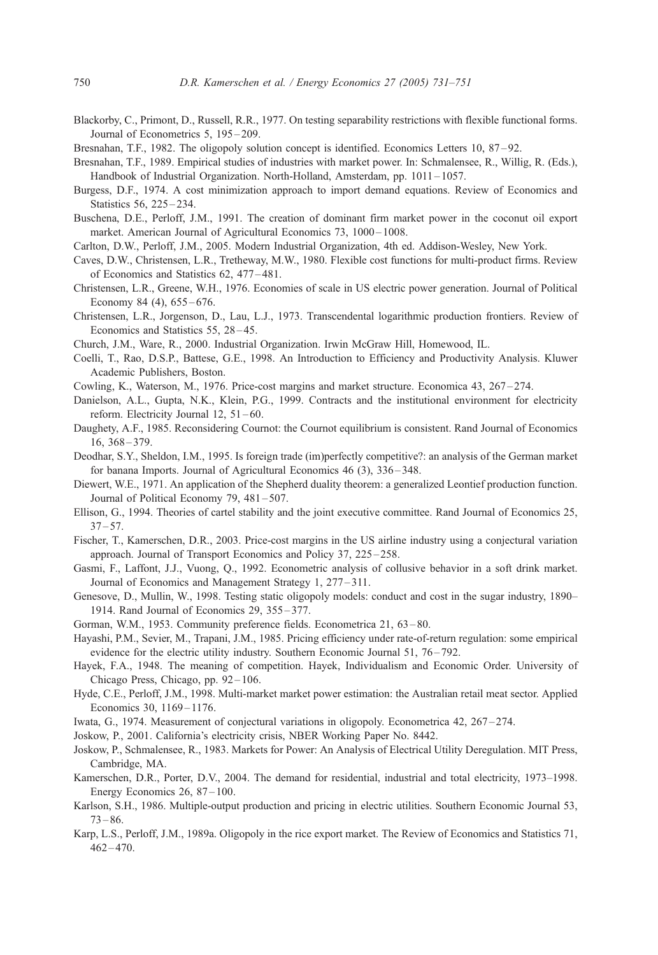- <span id="page-19-0"></span>Blackorby, C., Primont, D., Russell, R.R., 1977. On testing separability restrictions with flexible functional forms. Journal of Econometrics 5, 195-209.
- Bresnahan, T.F., 1982. The oligopoly solution concept is identified. Economics Letters 10, 87–92.
- Bresnahan, T.F., 1989. Empirical studies of industries with market power. In: Schmalensee, R., Willig, R. (Eds.), Handbook of Industrial Organization. North-Holland, Amsterdam, pp. 1011-1057.
- Burgess, D.F., 1974. A cost minimization approach to import demand equations. Review of Economics and Statistics 56, 225 – 234.
- Buschena, D.E., Perloff, J.M., 1991. The creation of dominant firm market power in the coconut oil export market. American Journal of Agricultural Economics 73, 1000-1008.
- Carlton, D.W., Perloff, J.M., 2005. Modern Industrial Organization, 4th ed. Addison-Wesley, New York.
- Caves, D.W., Christensen, L.R., Tretheway, M.W., 1980. Flexible cost functions for multi-product firms. Review of Economics and Statistics 62, 477 – 481.
- Christensen, L.R., Greene, W.H., 1976. Economies of scale in US electric power generation. Journal of Political Economy 84 (4),  $655 - 676$ .
- Christensen, L.R., Jorgenson, D., Lau, L.J., 1973. Transcendental logarithmic production frontiers. Review of Economics and Statistics 55, 28 – 45.
- Church, J.M., Ware, R., 2000. Industrial Organization. Irwin McGraw Hill, Homewood, IL.
- Coelli, T., Rao, D.S.P., Battese, G.E., 1998. An Introduction to Efficiency and Productivity Analysis. Kluwer Academic Publishers, Boston.
- Cowling, K., Waterson, M., 1976. Price-cost margins and market structure. Economica 43, 267 274.
- Danielson, A.L., Gupta, N.K., Klein, P.G., 1999. Contracts and the institutional environment for electricity reform. Electricity Journal 12, 51-60.
- Daughety, A.F., 1985. Reconsidering Cournot: the Cournot equilibrium is consistent. Rand Journal of Economics 16, 368 – 379.
- Deodhar, S.Y., Sheldon, I.M., 1995. Is foreign trade (im)perfectly competitive?: an analysis of the German market for banana Imports. Journal of Agricultural Economics 46 (3), 336 – 348.
- Diewert, W.E., 1971. An application of the Shepherd duality theorem: a generalized Leontief production function. Journal of Political Economy 79, 481 – 507.
- Ellison, G., 1994. Theories of cartel stability and the joint executive committee. Rand Journal of Economics 25,  $37 - 57$
- Fischer, T., Kamerschen, D.R., 2003. Price-cost margins in the US airline industry using a conjectural variation approach. Journal of Transport Economics and Policy 37, 225 – 258.
- Gasmi, F., Laffont, J.J., Vuong, Q., 1992. Econometric analysis of collusive behavior in a soft drink market. Journal of Economics and Management Strategy 1, 277 – 311.
- Genesove, D., Mullin, W., 1998. Testing static oligopoly models: conduct and cost in the sugar industry, 1890– 1914. Rand Journal of Economics 29, 355 – 377.
- Gorman, W.M., 1953. Community preference fields. Econometrica 21, 63 80.
- Hayashi, P.M., Sevier, M., Trapani, J.M., 1985. Pricing efficiency under rate-of-return regulation: some empirical evidence for the electric utility industry. Southern Economic Journal 51, 76–792.
- Hayek, F.A., 1948. The meaning of competition. Hayek, Individualism and Economic Order. University of Chicago Press, Chicago, pp. 92-106.
- Hyde, C.E., Perloff, J.M., 1998. Multi-market market power estimation: the Australian retail meat sector. Applied Economics 30, 1169 – 1176.
- Iwata, G., 1974. Measurement of conjectural variations in oligopoly. Econometrica 42, 267 274.
- Joskow, P., 2001. California's electricity crisis, NBER Working Paper No. 8442.
- Joskow, P., Schmalensee, R., 1983. Markets for Power: An Analysis of Electrical Utility Deregulation. MIT Press, Cambridge, MA.
- Kamerschen, D.R., Porter, D.V., 2004. The demand for residential, industrial and total electricity, 1973–1998. Energy Economics 26,  $87-100$ .
- Karlson, S.H., 1986. Multiple-output production and pricing in electric utilities. Southern Economic Journal 53,  $73 - 86.$
- Karp, L.S., Perloff, J.M., 1989a. Oligopoly in the rice export market. The Review of Economics and Statistics 71,  $462 - 470.$